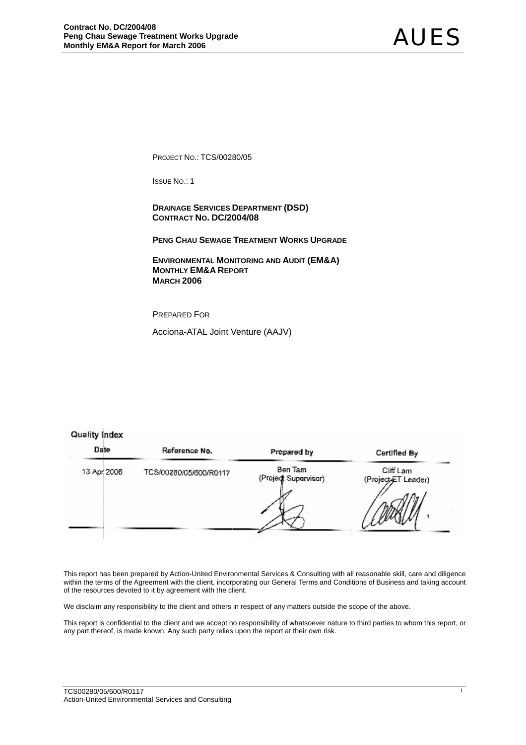PROJECT NO.: TCS/00280/05

ISSUE NO.: 1

 **DRAINAGE SERVICES DEPARTMENT (DSD) CONTRACT NO. DC/2004/08** 

**PENG CHAU SEWAGE TREATMENT WORKS UPGRADE**

 **ENVIRONMENTAL MONITORING AND AUDIT (EM&A) MONTHLY EM&A REPORT MARCH 2006** 

PREPARED FOR

Acciona-ATAL Joint Venture (AAJV)

## **Quality Index**

| Date        | Reference No.          | Prepared by                     | Certified By                     |
|-------------|------------------------|---------------------------------|----------------------------------|
| 13 Apr 2008 | TCS/00280/05/600/R0117 | Ben Tam<br>(Project Supervisor) | Cliff Lam<br>(Project-ET Leader) |

This report has been prepared by Action-United Environmental Services & Consulting with all reasonable skill, care and diligence within the terms of the Agreement with the client, incorporating our General Terms and Conditions of Business and taking account of the resources devoted to it by agreement with the client.

We disclaim any responsibility to the client and others in respect of any matters outside the scope of the above.

This report is confidential to the client and we accept no responsibility of whatsoever nature to third parties to whom this report, or any part thereof, is made known. Any such party relies upon the report at their own risk.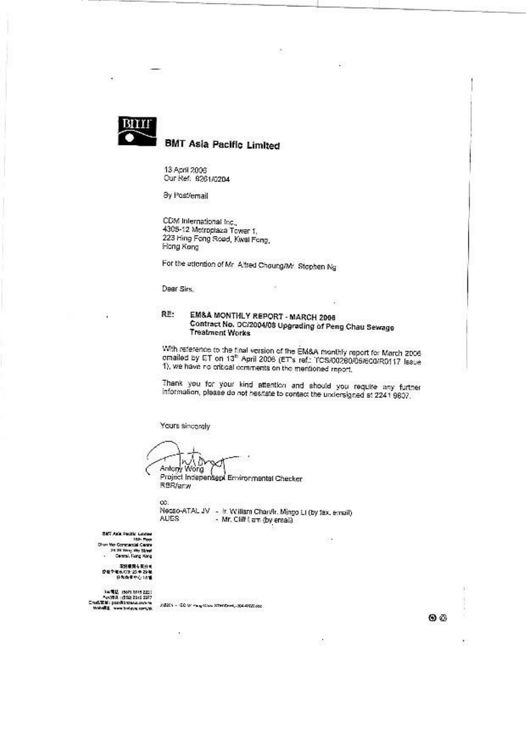

# **BMT Asia Pacific Limited**

13 April 2006 Our Ref: 8261/0204

By Post/email

CDM International Inc., 4305-12 Motroplaza Tower 1, 223 Hing Fong Road, Kwal Fong, Hong Kong

For the attention of Mr. Aftred Chaung/Mr. Stephen Ng

Dear Sirs,

RE: EM&A MONTHLY REPORT - MARCH 2006 Contract No. DC/2004/08 Upgrading of Peng Chau Sewage **Treatment Works** 

×

With reference to the final version of the EM&A monthly report for March 2006 cmailed by ET on 13<sup>th</sup> April 2006 (ET's ref.: l'CS/00280/09/600/R0117 Issue 1), we have no critical comments on the mentioned report.

Thank you for your kind attention and should you require any further information, please do not hesitate to contact the undersigned at 2241 9807.

Yours sincerely

co.

ł,

١D 90 Antony Wong (

Project Independent Environmental Checker RBR/arw

Necso-ATAL JV - In William Charvin Mingo Li (by fax, email)<br>AUES - Mr. Cliff ( am (by email)

BIET Aufa Pacific Liciciae Den Alle Hacks Licens<br>15th Floor<br>Ohan Wo Companial Canna 29.28 Weg We Street s.

1925 2007 2007 2018<br>- Ann 2018 1929 2019 2017<br>- Cradia Billie - pass discussion de complete<br>- Wales - pass discussion complete

EBSA - COM Pagina STROOM, SAARING

00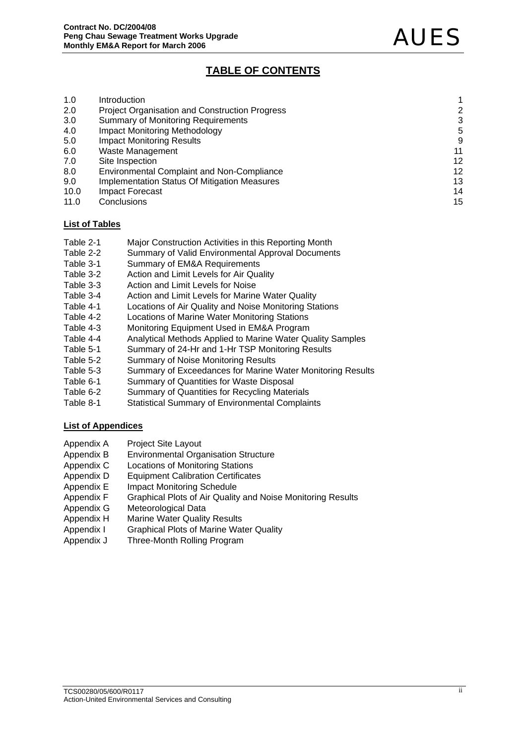## **TABLE OF CONTENTS**

| 1.0  | Introduction                                          |    |
|------|-------------------------------------------------------|----|
| 2.0  | <b>Project Organisation and Construction Progress</b> | 2  |
| 3.0  | <b>Summary of Monitoring Requirements</b>             | 3  |
| 4.0  | <b>Impact Monitoring Methodology</b>                  | 5  |
| 5.0  | <b>Impact Monitoring Results</b>                      | 9  |
| 6.0  | Waste Management                                      | 11 |
| 7.0  | Site Inspection                                       | 12 |
| 8.0  | <b>Environmental Complaint and Non-Compliance</b>     | 12 |
| 9.0  | <b>Implementation Status Of Mitigation Measures</b>   | 13 |
| 10.0 | Impact Forecast                                       | 14 |
| 11.0 | Conclusions                                           | 15 |

## **List of Tables**

- Table 2-1 Major Construction Activities in this Reporting Month
- Table 2-2 Summary of Valid Environmental Approval Documents
- Table 3-1 Summary of EM&A Requirements
- Table 3-2 Action and Limit Levels for Air Quality
- Table 3-3 Action and Limit Levels for Noise
- Table 3-4 Action and Limit Levels for Marine Water Quality
- Table 4-1 Locations of Air Quality and Noise Monitoring Stations
- Table 4-2 Locations of Marine Water Monitoring Stations
- Table 4-3 Monitoring Equipment Used in EM&A Program
- Table 4-4 Analytical Methods Applied to Marine Water Quality Samples
- Table 5-1 Summary of 24-Hr and 1-Hr TSP Monitoring Results
- Table 5-2 Summary of Noise Monitoring Results
- Table 5-3 Summary of Exceedances for Marine Water Monitoring Results
- Table 6-1 Summary of Quantities for Waste Disposal
- Table 6-2 Summary of Quantities for Recycling Materials
- Table 8-1 Statistical Summary of Environmental Complaints

## **List of Appendices**

- Appendix A Project Site Layout
- Appendix B Environmental Organisation Structure
- Appendix C Locations of Monitoring Stations
- Appendix D Equipment Calibration Certificates
- Appendix E Impact Monitoring Schedule
- Appendix F Graphical Plots of Air Quality and Noise Monitoring Results
- Appendix G Meteorological Data
- Appendix H Marine Water Quality Results
- Appendix I Graphical Plots of Marine Water Quality
- Appendix J Three-Month Rolling Program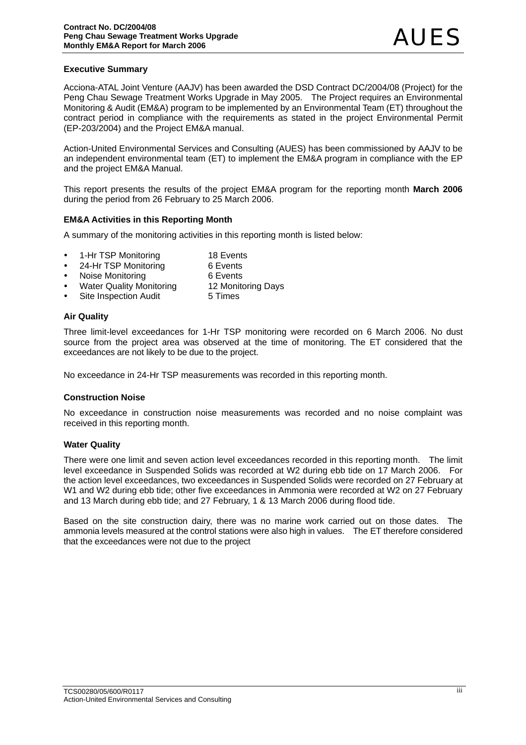## **Executive Summary**

Acciona-ATAL Joint Venture (AAJV) has been awarded the DSD Contract DC/2004/08 (Project) for the Peng Chau Sewage Treatment Works Upgrade in May 2005. The Project requires an Environmental Monitoring & Audit (EM&A) program to be implemented by an Environmental Team (ET) throughout the contract period in compliance with the requirements as stated in the project Environmental Permit (EP-203/2004) and the Project EM&A manual.

Action-United Environmental Services and Consulting (AUES) has been commissioned by AAJV to be an independent environmental team (ET) to implement the EM&A program in compliance with the EP and the project EM&A Manual.

This report presents the results of the project EM&A program for the reporting month **March 2006**  during the period from 26 February to 25 March 2006.

## **EM&A Activities in this Reporting Month**

A summary of the monitoring activities in this reporting month is listed below:

- 1-Hr TSP Monitoring 18 Events
- 24-Hr TSP Monitoring 6 Events
- Noise Monitoring **6** Events
- Water Quality Monitoring 12 Monitoring Days
- Site Inspection Audit 5 Times

## **Air Quality**

Three limit-level exceedances for 1-Hr TSP monitoring were recorded on 6 March 2006. No dust source from the project area was observed at the time of monitoring. The ET considered that the exceedances are not likely to be due to the project.

No exceedance in 24-Hr TSP measurements was recorded in this reporting month.

#### **Construction Noise**

No exceedance in construction noise measurements was recorded and no noise complaint was received in this reporting month.

#### **Water Quality**

There were one limit and seven action level exceedances recorded in this reporting month. The limit level exceedance in Suspended Solids was recorded at W2 during ebb tide on 17 March 2006. For the action level exceedances, two exceedances in Suspended Solids were recorded on 27 February at W1 and W2 during ebb tide; other five exceedances in Ammonia were recorded at W2 on 27 February and 13 March during ebb tide; and 27 February, 1 & 13 March 2006 during flood tide.

Based on the site construction dairy, there was no marine work carried out on those dates. The ammonia levels measured at the control stations were also high in values. The ET therefore considered that the exceedances were not due to the project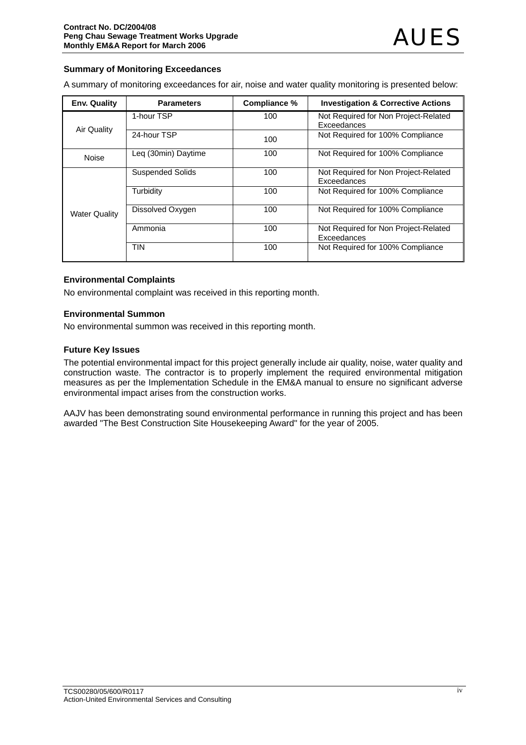## **Summary of Monitoring Exceedances**

A summary of monitoring exceedances for air, noise and water quality monitoring is presented below:

| <b>Env. Quality</b>  | <b>Parameters</b>       | Compliance % | <b>Investigation &amp; Corrective Actions</b>       |
|----------------------|-------------------------|--------------|-----------------------------------------------------|
| Air Quality          | 1-hour TSP              | 100          | Not Required for Non Project-Related<br>Exceedances |
|                      | 24-hour TSP             | 100          | Not Required for 100% Compliance                    |
| Noise                | Leg (30min) Daytime     | 100          | Not Required for 100% Compliance                    |
|                      | <b>Suspended Solids</b> | 100          | Not Required for Non Project-Related<br>Exceedances |
|                      | Turbidity               | 100          | Not Required for 100% Compliance                    |
| <b>Water Quality</b> | Dissolved Oxygen        | 100          | Not Required for 100% Compliance                    |
|                      | Ammonia                 | 100          | Not Required for Non Project-Related<br>Exceedances |
|                      | <b>TIN</b>              | 100          | Not Required for 100% Compliance                    |

## **Environmental Complaints**

No environmental complaint was received in this reporting month.

## **Environmental Summon**

No environmental summon was received in this reporting month.

## **Future Key Issues**

The potential environmental impact for this project generally include air quality, noise, water quality and construction waste. The contractor is to properly implement the required environmental mitigation measures as per the Implementation Schedule in the EM&A manual to ensure no significant adverse environmental impact arises from the construction works.

AAJV has been demonstrating sound environmental performance in running this project and has been awarded "The Best Construction Site Housekeeping Award" for the year of 2005.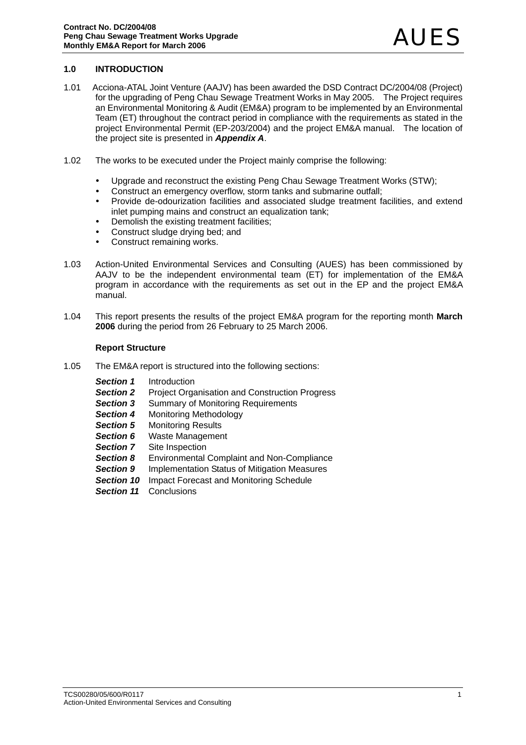## **1.0 INTRODUCTION**

- 1.01 Acciona-ATAL Joint Venture (AAJV) has been awarded the DSD Contract DC/2004/08 (Project) for the upgrading of Peng Chau Sewage Treatment Works in May 2005. The Project requires an Environmental Monitoring & Audit (EM&A) program to be implemented by an Environmental Team (ET) throughout the contract period in compliance with the requirements as stated in the project Environmental Permit (EP-203/2004) and the project EM&A manual. The location of the project site is presented in *Appendix A*.
- 1.02 The works to be executed under the Project mainly comprise the following:
	- Upgrade and reconstruct the existing Peng Chau Sewage Treatment Works (STW):
	- Construct an emergency overflow, storm tanks and submarine outfall:
	- Provide de-odourization facilities and associated sludge treatment facilities, and extend inlet pumping mains and construct an equalization tank;
	- Demolish the existing treatment facilities;
	- Construct sludge drying bed; and
	- Construct remaining works.
- 1.03 Action-United Environmental Services and Consulting (AUES) has been commissioned by AAJV to be the independent environmental team (ET) for implementation of the EM&A program in accordance with the requirements as set out in the EP and the project EM&A manual.
- 1.04 This report presents the results of the project EM&A program for the reporting month **March 2006** during the period from 26 February to 25 March 2006.

## **Report Structure**

- 1.05 The EM&A report is structured into the following sections:
	- *Section 1* Introduction
	- **Section 2** Project Organisation and Construction Progress
	- **Section 3** Summary of Monitoring Requirements
	- *Section 4* Monitoring Methodology
	- **Section 5** Monitoring Results
	- **Section 6** Waste Management
	- **Section 7** Site Inspection
	- *Section 8* Environmental Complaint and Non-Compliance
	- **Section 9** Implementation Status of Mitigation Measures
	- **Section 10** Impact Forecast and Monitoring Schedule
	- *Section 11* Conclusions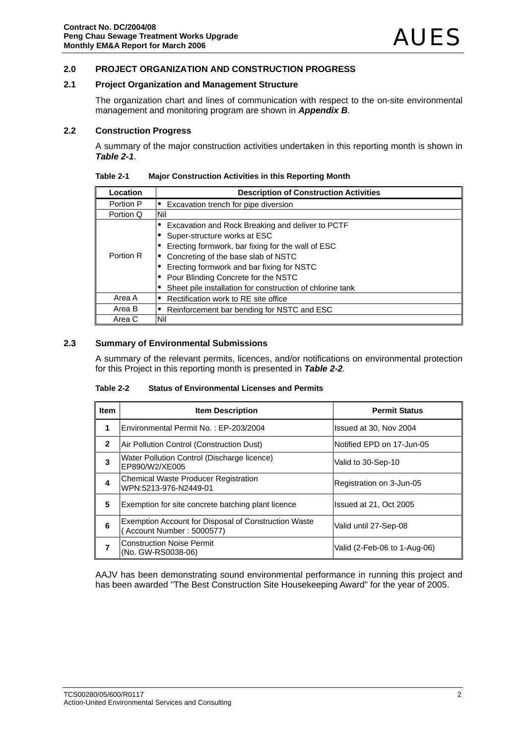## **2.0 PROJECT ORGANIZATION AND CONSTRUCTION PROGRESS**

## **2.1 Project Organization and Management Structure**

The organization chart and lines of communication with respect to the on-site environmental management and monitoring program are shown in *Appendix B*.

#### **2.2 Construction Progress**

A summary of the major construction activities undertaken in this reporting month is shown in *Table 2-1*.

| Table 2-1 | <b>Major Construction Activities in this Reporting Month</b> |  |
|-----------|--------------------------------------------------------------|--|
|           |                                                              |  |

| Location  | <b>Description of Construction Activities</b>             |
|-----------|-----------------------------------------------------------|
| Portion P | Excavation trench for pipe diversion                      |
| Portion Q | Nil                                                       |
|           | Excavation and Rock Breaking and deliver to PCTF          |
|           | Super-structure works at ESC                              |
|           | Erecting formwork, bar fixing for the wall of ESC         |
| Portion R | Concreting of the base slab of NSTC                       |
|           | Erecting formwork and bar fixing for NSTC                 |
|           | Pour Blinding Concrete for the NSTC                       |
|           | Sheet pile installation for construction of chlorine tank |
| Area A    | Rectification work to RE site office                      |
| Area B    | Reinforcement bar bending for NSTC and ESC                |
| Area C    | Nil                                                       |

## **2.3 Summary of Environmental Submissions**

A summary of the relevant permits, licences, and/or notifications on environmental protection for this Project in this reporting month is presented in *Table 2-2.* 

**Table 2-2 Status of Environmental Licenses and Permits** 

| Item           | <b>Item Description</b>                                                          | <b>Permit Status</b>         |
|----------------|----------------------------------------------------------------------------------|------------------------------|
| 1              | Environmental Permit No.: EP-203/2004                                            | Issued at 30, Nov 2004       |
| $\mathbf{2}$   | Air Pollution Control (Construction Dust)                                        | Notified EPD on 17-Jun-05    |
| 3              | Water Pollution Control (Discharge licence)<br>EP890/W2/XE005                    | Valid to 30-Sep-10           |
| 4              | <b>Chemical Waste Producer Registration</b><br>WPN:5213-976-N2449-01             | Registration on 3-Jun-05     |
| 5              | Exemption for site concrete batching plant licence                               | Issued at 21, Oct 2005       |
| 6              | Exemption Account for Disposal of Construction Waste<br>Account Number: 5000577) | Valid until 27-Sep-08        |
| $\overline{7}$ | <b>Construction Noise Permit</b><br>(No. GW-RS0038-06)                           | Valid (2-Feb-06 to 1-Aug-06) |

AAJV has been demonstrating sound environmental performance in running this project and has been awarded "The Best Construction Site Housekeeping Award" for the year of 2005.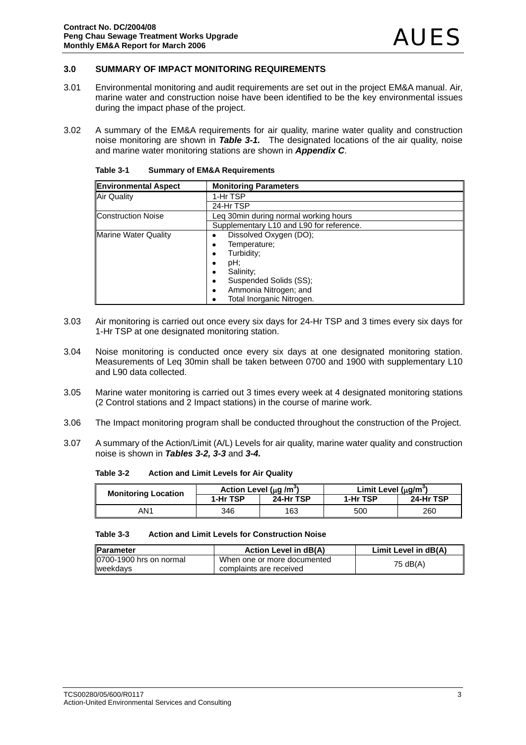## **3.0 SUMMARY OF IMPACT MONITORING REQUIREMENTS**

- 3.01 Environmental monitoring and audit requirements are set out in the project EM&A manual. Air, marine water and construction noise have been identified to be the key environmental issues during the impact phase of the project.
- 3.02 A summary of the EM&A requirements for air quality, marine water quality and construction noise monitoring are shown in *Table 3-1.* The designated locations of the air quality, noise and marine water monitoring stations are shown in *Appendix C*.

| <b>Environmental Aspect</b> | <b>Monitoring Parameters</b>             |
|-----------------------------|------------------------------------------|
| <b>Air Quality</b>          | 1-Hr TSP                                 |
|                             | 24-Hr TSP                                |
| <b>Construction Noise</b>   | Leg 30min during normal working hours    |
|                             | Supplementary L10 and L90 for reference. |
| <b>Marine Water Quality</b> | Dissolved Oxygen (DO);                   |
|                             | Temperature;                             |
|                             | Turbidity;                               |
|                             | pH;<br>٠                                 |
|                             | Salinity;                                |
|                             | Suspended Solids (SS);                   |
|                             | Ammonia Nitrogen; and                    |
|                             | Total Inorganic Nitrogen.                |

| Table 3-1 | <b>Summary of EM&amp;A Requirements</b> |
|-----------|-----------------------------------------|
|-----------|-----------------------------------------|

- 3.03 Air monitoring is carried out once every six days for 24-Hr TSP and 3 times every six days for 1-Hr TSP at one designated monitoring station.
- 3.04 Noise monitoring is conducted once every six days at one designated monitoring station. Measurements of Leq 30min shall be taken between 0700 and 1900 with supplementary L10 and L90 data collected.
- 3.05 Marine water monitoring is carried out 3 times every week at 4 designated monitoring stations (2 Control stations and 2 Impact stations) in the course of marine work.
- 3.06 The Impact monitoring program shall be conducted throughout the construction of the Project.
- 3.07 A summary of the Action/Limit (A/L) Levels for air quality, marine water quality and construction noise is shown in *Tables 3-2, 3-3* and *3-4.*

**Table 3-2 Action and Limit Levels for Air Quality** 

| <b>Monitoring Location</b> | Action Level (µq /m <sup>o</sup> ) |           | Limit Level $(uq/m^3)$ |           |
|----------------------------|------------------------------------|-----------|------------------------|-----------|
|                            | 1-Hr TSP                           | 24-Hr TSP | 1-Hr TSP               | 24-Hr TSP |
| AN1                        | 346                                | 163       | 500                    | 260       |

| Table 3-3 | <b>Action and Limit Levels for Construction Noise</b> |
|-----------|-------------------------------------------------------|
|           |                                                       |

| <b>IParameter</b>        | <b>Action Level in dB(A)</b> | Limit Level in dB(A) |
|--------------------------|------------------------------|----------------------|
| 10700-1900 hrs on normal | When one or more documented  | 75 dB(A)             |
| <b>I</b> weekdavs        | complaints are received      |                      |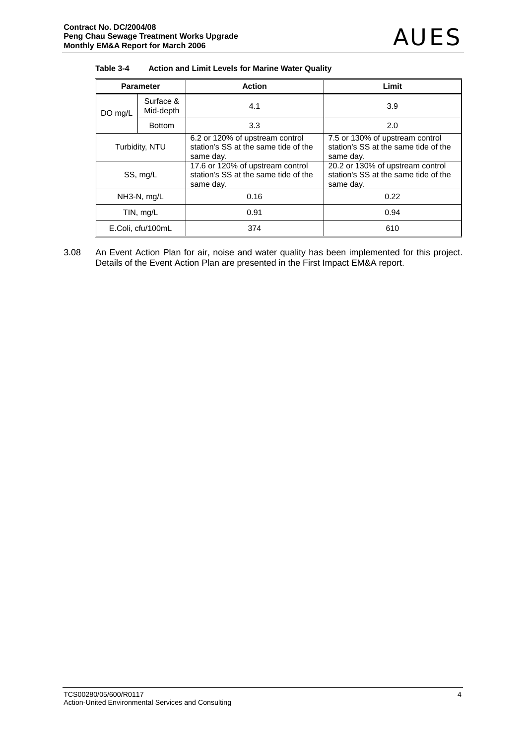| Table 3-4 | Action and Limit Levels for Marine Water Quality |
|-----------|--------------------------------------------------|
|-----------|--------------------------------------------------|

| <b>Parameter</b>  |                        | <b>Action</b>                                                                         | Limit                                                                                 |  |  |  |
|-------------------|------------------------|---------------------------------------------------------------------------------------|---------------------------------------------------------------------------------------|--|--|--|
| DO mg/L           | Surface &<br>Mid-depth | 4.1                                                                                   | 3.9                                                                                   |  |  |  |
|                   | <b>Bottom</b>          | 3.3                                                                                   | 2.0                                                                                   |  |  |  |
| Turbidity, NTU    |                        | 6.2 or 120% of upstream control<br>station's SS at the same tide of the<br>same day.  | 7.5 or 130% of upstream control<br>station's SS at the same tide of the<br>same day.  |  |  |  |
| SS, mg/L          |                        | 17.6 or 120% of upstream control<br>station's SS at the same tide of the<br>same day. | 20.2 or 130% of upstream control<br>station's SS at the same tide of the<br>same day. |  |  |  |
| $NH3-N$ , $mg/L$  |                        | 0.16                                                                                  | 0.22                                                                                  |  |  |  |
| TIN, mg/L         |                        | 0.91                                                                                  | 0.94                                                                                  |  |  |  |
| E.Coli, cfu/100mL |                        | 374                                                                                   | 610                                                                                   |  |  |  |

3.08 An Event Action Plan for air, noise and water quality has been implemented for this project. Details of the Event Action Plan are presented in the First Impact EM&A report.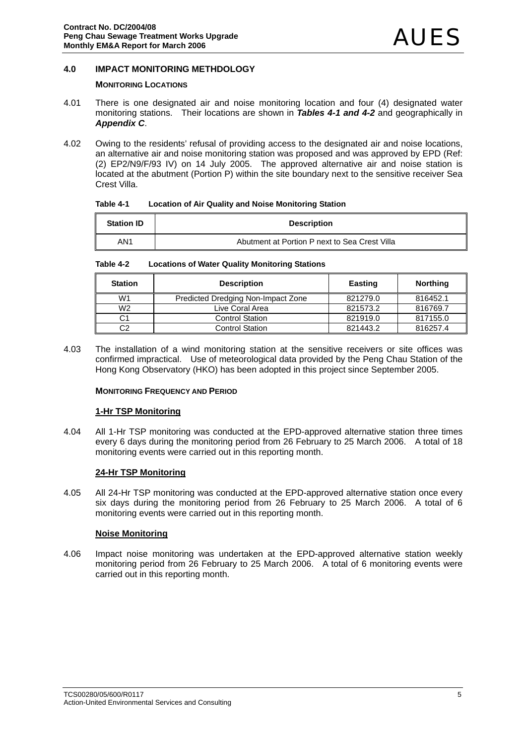## **4.0 IMPACT MONITORING METHDOLOGY**

## **MONITORING LOCATIONS**

- 4.01 There is one designated air and noise monitoring location and four (4) designated water monitoring stations. Their locations are shown in *Tables 4-1 and 4-2* and geographically in *Appendix C*.
- 4.02 Owing to the residents' refusal of providing access to the designated air and noise locations, an alternative air and noise monitoring station was proposed and was approved by EPD (Ref: (2) EP2/N9/F/93 IV) on 14 July 2005. The approved alternative air and noise station is located at the abutment (Portion P) within the site boundary next to the sensitive receiver Sea Crest Villa.

| Table 4-1 |  | <b>Location of Air Quality and Noise Monitoring Station</b> |
|-----------|--|-------------------------------------------------------------|
|-----------|--|-------------------------------------------------------------|

| <b>Station ID</b> | <b>Description</b>                            |
|-------------------|-----------------------------------------------|
| AN <sub>1</sub>   | Abutment at Portion P next to Sea Crest Villa |

**Table 4-2 Locations of Water Quality Monitoring Stations** 

| <b>Station</b> | <b>Description</b>                 | <b>Easting</b> | <b>Northing</b> |
|----------------|------------------------------------|----------------|-----------------|
| W1             | Predicted Dredging Non-Impact Zone | 821279.0       | 816452.1        |
| W <sub>2</sub> | Live Coral Area                    | 821573.2       | 816769.7        |
| C1             | <b>Control Station</b>             | 821919.0       | 817155.0        |
| C2             | <b>Control Station</b>             | 821443.2       | 816257.4        |

4.03 The installation of a wind monitoring station at the sensitive receivers or site offices was confirmed impractical. Use of meteorological data provided by the Peng Chau Station of the Hong Kong Observatory (HKO) has been adopted in this project since September 2005.

#### **MONITORING FREQUENCY AND PERIOD**

#### **1-Hr TSP Monitoring**

4.04 All 1-Hr TSP monitoring was conducted at the EPD-approved alternative station three times every 6 days during the monitoring period from 26 February to 25 March 2006. A total of 18 monitoring events were carried out in this reporting month.

## **24-Hr TSP Monitoring**

4.05 All 24-Hr TSP monitoring was conducted at the EPD-approved alternative station once every six days during the monitoring period from 26 February to 25 March 2006. A total of 6 monitoring events were carried out in this reporting month.

## **Noise Monitoring**

4.06 Impact noise monitoring was undertaken at the EPD-approved alternative station weekly monitoring period from 26 February to 25 March 2006. A total of 6 monitoring events were carried out in this reporting month.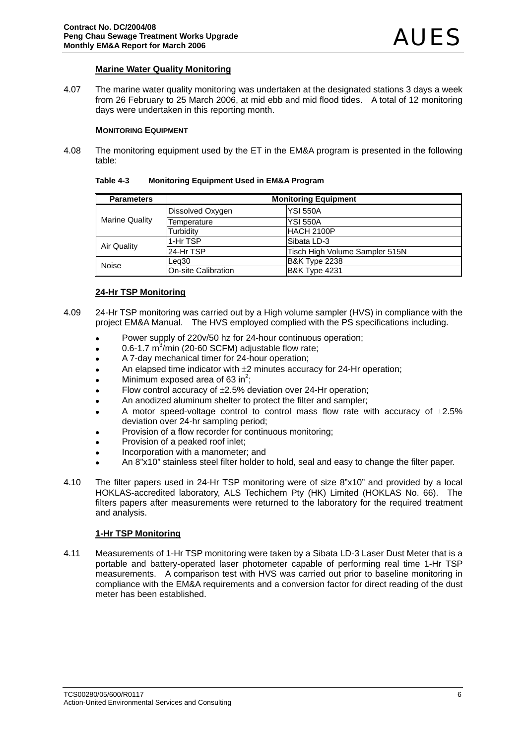## **Marine Water Quality Monitoring**

4.07 The marine water quality monitoring was undertaken at the designated stations 3 days a week from 26 February to 25 March 2006, at mid ebb and mid flood tides. A total of 12 monitoring days were undertaken in this reporting month.

### **MONITORING EQUIPMENT**

4.08 The monitoring equipment used by the ET in the EM&A program is presented in the following table:

| Table 4-3 | <b>Monitoring Equipment Used in EM&amp;A Program</b> |  |
|-----------|------------------------------------------------------|--|
|-----------|------------------------------------------------------|--|

| <b>Parameters</b>     | <b>Monitoring Equipment</b> |                                |  |  |  |  |  |  |
|-----------------------|-----------------------------|--------------------------------|--|--|--|--|--|--|
| <b>Marine Quality</b> | Dissolved Oxygen            | IYSI 550A                      |  |  |  |  |  |  |
|                       | Temperature                 | <b>YSI 550A</b>                |  |  |  |  |  |  |
|                       | Turbidity                   | HACH 2100P                     |  |  |  |  |  |  |
| Air Quality           | 1-Hr TSP                    | lSibata LD-3                   |  |  |  |  |  |  |
|                       | 24-Hr TSP                   | Tisch High Volume Sampler 515N |  |  |  |  |  |  |
| Noise                 | Lea30                       | <b>B&amp;K Type 2238</b>       |  |  |  |  |  |  |
|                       | <b>On-site Calibration</b>  | <b>B&amp;K Type 4231</b>       |  |  |  |  |  |  |

## **24-Hr TSP Monitoring**

- 4.09 24-Hr TSP monitoring was carried out by a High volume sampler (HVS) in compliance with the project EM&A Manual. The HVS employed complied with the PS specifications including.
	- Power supply of 220v/50 hz for 24-hour continuous operation:
	- $\bullet$  0.6-1.7 m<sup>3</sup>/min (20-60 SCFM) adjustable flow rate;
	- A 7-day mechanical timer for 24-hour operation;
	- An elapsed time indicator with  $\pm 2$  minutes accuracy for 24-Hr operation;
	- Minimum exposed area of 63 in<sup>2</sup>;
	- Flow control accuracy of  $\pm 2.5$ % deviation over 24-Hr operation;
	- An anodized aluminum shelter to protect the filter and sampler;
	- A motor speed-voltage control to control mass flow rate with accuracy of  $\pm 2.5\%$ deviation over 24-hr sampling period;
	- Provision of a flow recorder for continuous monitoring;
	- Provision of a peaked roof inlet:
	- Incorporation with a manometer; and
	- An 8"x10" stainless steel filter holder to hold, seal and easy to change the filter paper.
- 4.10 The filter papers used in 24-Hr TSP monitoring were of size 8"x10" and provided by a local HOKLAS-accredited laboratory, ALS Techichem Pty (HK) Limited (HOKLAS No. 66). The filters papers after measurements were returned to the laboratory for the required treatment and analysis.

## **1-Hr TSP Monitoring**

4.11 Measurements of 1-Hr TSP monitoring were taken by a Sibata LD-3 Laser Dust Meter that is a portable and battery-operated laser photometer capable of performing real time 1-Hr TSP measurements. A comparison test with HVS was carried out prior to baseline monitoring in compliance with the EM&A requirements and a conversion factor for direct reading of the dust meter has been established.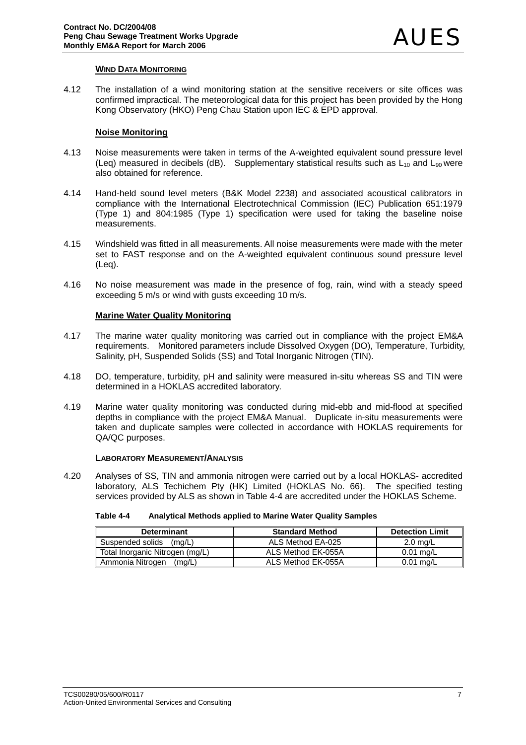## **WIND DATA MONITORING**

4.12 The installation of a wind monitoring station at the sensitive receivers or site offices was confirmed impractical. The meteorological data for this project has been provided by the Hong Kong Observatory (HKO) Peng Chau Station upon IEC & EPD approval.

## **Noise Monitoring**

- 4.13 Noise measurements were taken in terms of the A-weighted equivalent sound pressure level (Leq) measured in decibels (dB). Supplementary statistical results such as  $L_{10}$  and  $L_{90}$  were also obtained for reference.
- 4.14 Hand-held sound level meters (B&K Model 2238) and associated acoustical calibrators in compliance with the International Electrotechnical Commission (IEC) Publication 651:1979 (Type 1) and 804:1985 (Type 1) specification were used for taking the baseline noise measurements.
- 4.15 Windshield was fitted in all measurements. All noise measurements were made with the meter set to FAST response and on the A-weighted equivalent continuous sound pressure level (Leq).
- 4.16 No noise measurement was made in the presence of fog, rain, wind with a steady speed exceeding 5 m/s or wind with gusts exceeding 10 m/s.

## **Marine Water Quality Monitoring**

- 4.17 The marine water quality monitoring was carried out in compliance with the project EM&A requirements. Monitored parameters include Dissolved Oxygen (DO), Temperature, Turbidity, Salinity, pH, Suspended Solids (SS) and Total Inorganic Nitrogen (TIN).
- 4.18 DO, temperature, turbidity, pH and salinity were measured in-situ whereas SS and TIN were determined in a HOKLAS accredited laboratory.
- 4.19 Marine water quality monitoring was conducted during mid-ebb and mid-flood at specified depths in compliance with the project EM&A Manual. Duplicate in-situ measurements were taken and duplicate samples were collected in accordance with HOKLAS requirements for QA/QC purposes.

## **LABORATORY MEASUREMENT/ANALYSIS**

4.20 Analyses of SS, TIN and ammonia nitrogen were carried out by a local HOKLAS- accredited laboratory, ALS Techichem Pty (HK) Limited (HOKLAS No. 66). The specified testing services provided by ALS as shown in Table 4-4 are accredited under the HOKLAS Scheme.

| Table 4-4 | Analytical Methods applied to Marine Water Quality Samples |
|-----------|------------------------------------------------------------|
|-----------|------------------------------------------------------------|

| <b>Determinant</b>              | <b>Standard Method</b> | <b>Detection Limit</b> |
|---------------------------------|------------------------|------------------------|
| Suspended solids<br>(ma/L)      | ALS Method EA-025      | $2.0 \text{ rad/L}$    |
| Total Inorganic Nitrogen (mg/L) | ALS Method EK-055A     | $0.01$ ma/L            |
| Ammonia Nitrogen<br>(ma/L)      | ALS Method EK-055A     | $0.01$ ma/L            |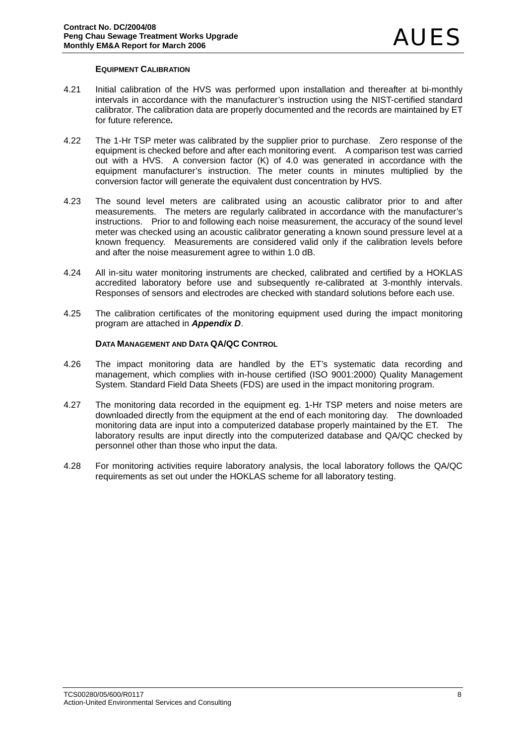## **EQUIPMENT CALIBRATION**

- 4.21 Initial calibration of the HVS was performed upon installation and thereafter at bi-monthly intervals in accordance with the manufacturer's instruction using the NIST-certified standard calibrator. The calibration data are properly documented and the records are maintained by ET for future reference*.*
- 4.22 The 1-Hr TSP meter was calibrated by the supplier prior to purchase. Zero response of the equipment is checked before and after each monitoring event. A comparison test was carried out with a HVS. A conversion factor (K) of 4.0 was generated in accordance with the equipment manufacturer's instruction. The meter counts in minutes multiplied by the conversion factor will generate the equivalent dust concentration by HVS.
- 4.23 The sound level meters are calibrated using an acoustic calibrator prior to and after measurements. The meters are regularly calibrated in accordance with the manufacturer's instructions. Prior to and following each noise measurement, the accuracy of the sound level meter was checked using an acoustic calibrator generating a known sound pressure level at a known frequency. Measurements are considered valid only if the calibration levels before and after the noise measurement agree to within 1.0 dB.
- 4.24 All in-situ water monitoring instruments are checked, calibrated and certified by a HOKLAS accredited laboratory before use and subsequently re-calibrated at 3-monthly intervals. Responses of sensors and electrodes are checked with standard solutions before each use.
- 4.25 The calibration certificates of the monitoring equipment used during the impact monitoring program are attached in *Appendix D*.

## **DATA MANAGEMENT AND DATA QA/QC CONTROL**

- 4.26 The impact monitoring data are handled by the ET's systematic data recording and management, which complies with in-house certified (ISO 9001:2000) Quality Management System. Standard Field Data Sheets (FDS) are used in the impact monitoring program.
- 4.27 The monitoring data recorded in the equipment eg. 1-Hr TSP meters and noise meters are downloaded directly from the equipment at the end of each monitoring day. The downloaded monitoring data are input into a computerized database properly maintained by the ET. The laboratory results are input directly into the computerized database and QA/QC checked by personnel other than those who input the data.
- 4.28 For monitoring activities require laboratory analysis, the local laboratory follows the QA/QC requirements as set out under the HOKLAS scheme for all laboratory testing.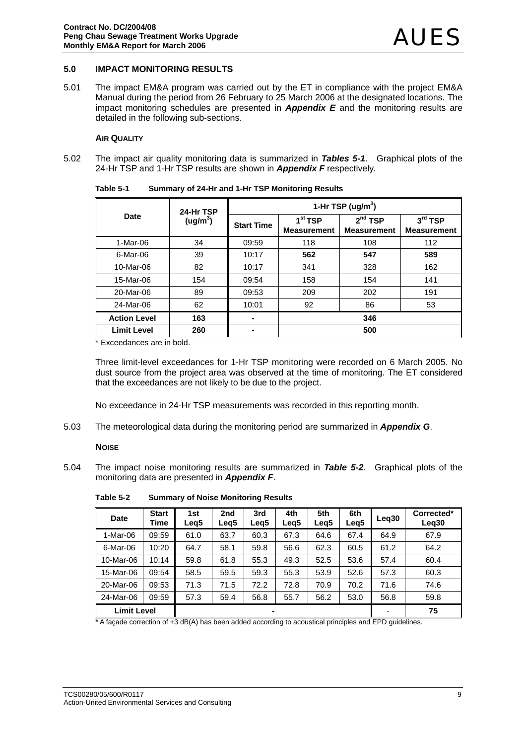## **5.0 IMPACT MONITORING RESULTS**

5.01 The impact EM&A program was carried out by the ET in compliance with the project EM&A Manual during the period from 26 February to 25 March 2006 at the designated locations. The impact monitoring schedules are presented in *Appendix E* and the monitoring results are detailed in the following sub-sections.

#### **AIR QUALITY**

5.02 The impact air quality monitoring data is summarized in *Tables 5-1*. Graphical plots of the 24-Hr TSP and 1-Hr TSP results are shown in *Appendix F* respectively.

|                     | 24-Hr TSP            | 1-Hr TSP (ug/m <sup>3</sup> ) |                                           |                                           |                                 |  |  |  |  |
|---------------------|----------------------|-------------------------------|-------------------------------------------|-------------------------------------------|---------------------------------|--|--|--|--|
| Date                | (ug/m <sup>3</sup> ) | <b>Start Time</b>             | 1 <sup>st</sup> TSP<br><b>Measurement</b> | 2 <sup>nd</sup> TSP<br><b>Measurement</b> | $3rd$ TSP<br><b>Measurement</b> |  |  |  |  |
| 1-Mar-06            | 34                   | 09:59                         | 118                                       | 108                                       | 112                             |  |  |  |  |
| 6-Mar-06            | 39                   | 10:17                         | 562                                       | 547                                       | 589                             |  |  |  |  |
| 10-Mar-06           | 82                   | 10:17                         | 341                                       | 328                                       | 162                             |  |  |  |  |
| 15-Mar-06           | 154                  | 09:54                         | 158                                       | 154                                       | 141                             |  |  |  |  |
| 20-Mar-06           | 89                   | 09:53                         | 209                                       | 202                                       | 191                             |  |  |  |  |
| 24-Mar-06           | 62                   | 10:01                         | 92                                        | 86                                        | 53                              |  |  |  |  |
| <b>Action Level</b> | 163                  |                               | 346                                       |                                           |                                 |  |  |  |  |
| <b>Limit Level</b>  | 260                  |                               | 500                                       |                                           |                                 |  |  |  |  |

**Table 5-1 Summary of 24-Hr and 1-Hr TSP Monitoring Results** 

\* Exceedances are in bold.

Three limit-level exceedances for 1-Hr TSP monitoring were recorded on 6 March 2005. No dust source from the project area was observed at the time of monitoring. The ET considered that the exceedances are not likely to be due to the project.

No exceedance in 24-Hr TSP measurements was recorded in this reporting month.

5.03 The meteorological data during the monitoring period are summarized in *Appendix G*.

#### **NOISE**

5.04 The impact noise monitoring results are summarized in *Table 5-2*. Graphical plots of the monitoring data are presented in *Appendix F*.

| <b>Date</b>                          | <b>Start</b><br>Time | 1st<br>Leg5 | 2nd<br>Leg5 | 3rd<br>Leg5 | 4th<br>Leg5 | 5th<br>Leg5              | 6th<br>Leg5 | Leg <sub>30</sub> | Corrected*<br>Leg <sub>30</sub> |
|--------------------------------------|----------------------|-------------|-------------|-------------|-------------|--------------------------|-------------|-------------------|---------------------------------|
| 1-Mar-06                             | 09:59                | 61.0        | 63.7        | 60.3        | 67.3        | 64.6                     | 67.4        | 64.9              | 67.9                            |
| 6-Mar-06                             | 10:20                | 64.7        | 58.1        | 59.8        | 56.6        | 62.3                     | 60.5        | 61.2              | 64.2                            |
| 10-Mar-06                            | 10:14                | 59.8        | 61.8        | 55.3        | 49.3        | 52.5                     | 53.6        | 57.4              | 60.4                            |
| 15-Mar-06                            | 09:54                | 58.5        | 59.5        | 59.3        | 55.3        | 53.9                     | 52.6        | 57.3              | 60.3                            |
| 20-Mar-06                            | 09:53                | 71.3        | 71.5        | 72.2        | 72.8        | 70.9                     | 70.2        | 71.6              | 74.6                            |
| 24-Mar-06                            | 09:59                | 57.3        | 59.4        | 56.8        | 55.7        | 56.2                     | 53.0        | 56.8              | 59.8                            |
| <b>Limit Level</b><br>$\blacksquare$ |                      |             |             |             |             | $\overline{\phantom{0}}$ | 75          |                   |                                 |

**Table 5-2 Summary of Noise Monitoring Results** 

\* A façade correction of +3 dB(A) has been added according to acoustical principles and EPD guidelines.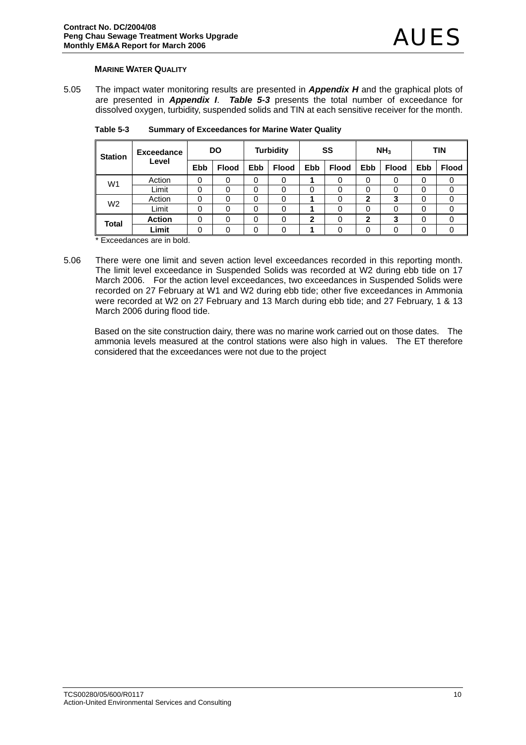## **MARINE WATER QUALITY**

5.05 The impact water monitoring results are presented in *Appendix H* and the graphical plots of are presented in *Appendix I*. *Table 5-3* presents the total number of exceedance for dissolved oxygen, turbidity, suspended solids and TIN at each sensitive receiver for the month.

| <b>Station</b> | <b>Exceedance</b> |            | DO           |     | <b>Turbidity</b> |            | SS           |     | NH <sub>3</sub> |            | <b>TIN</b>   |
|----------------|-------------------|------------|--------------|-----|------------------|------------|--------------|-----|-----------------|------------|--------------|
|                | Level             | <b>Ebb</b> | <b>Flood</b> | Ebb | <b>Flood</b>     | <b>Ebb</b> | <b>Flood</b> | Ebb | <b>Flood</b>    | <b>Ebb</b> | <b>Flood</b> |
| W1             | Action            | 0          | 0            | 0   | 0                |            | 0            | 0   | 0               | 0          |              |
|                | Limit             | 0          | 0            | 0   |                  | 0          |              | 0   | 0               | 0          |              |
| W <sub>2</sub> | Action            | 0          | 0            | 0   | 0                |            | 0            | 2   | 3               | 0          | 0            |
|                | Limit             | 0          | 0            | 0   |                  |            | 0            | 0   | 0               | 0          | 0            |
| Total          | <b>Action</b>     | 0          | 0            | 0   | 0                | 2          |              | 2   | 3               | 0          | 0            |
|                | Limit             | 0          | 0            | 0   | 0                |            |              | 0   | 0               | 0          |              |

**Table 5-3 Summary of Exceedances for Marine Water Quality** 

\* Exceedances are in bold.

5.06 There were one limit and seven action level exceedances recorded in this reporting month. The limit level exceedance in Suspended Solids was recorded at W2 during ebb tide on 17 March 2006. For the action level exceedances, two exceedances in Suspended Solids were recorded on 27 February at W1 and W2 during ebb tide; other five exceedances in Ammonia were recorded at W2 on 27 February and 13 March during ebb tide; and 27 February, 1 & 13 March 2006 during flood tide.

Based on the site construction dairy, there was no marine work carried out on those dates. The ammonia levels measured at the control stations were also high in values. The ET therefore considered that the exceedances were not due to the project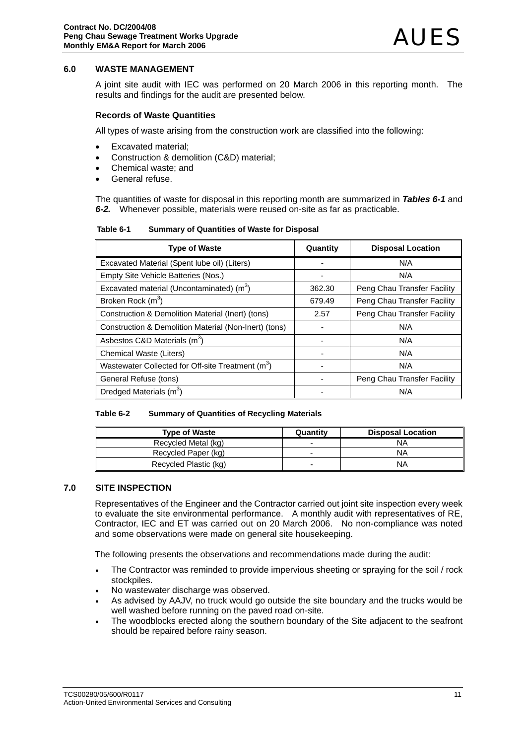## **6.0 WASTE MANAGEMENT**

A joint site audit with IEC was performed on 20 March 2006 in this reporting month. The results and findings for the audit are presented below.

## **Records of Waste Quantities**

All types of waste arising from the construction work are classified into the following:

- Excavated material;
- Construction & demolition (C&D) material;
- Chemical waste; and
- General refuse.

The quantities of waste for disposal in this reporting month are summarized in *Tables 6-1* and *6-2.* Whenever possible, materials were reused on-site as far as practicable.

| Table 6-1 | <b>Summary of Quantities of Waste for Disposal</b> |
|-----------|----------------------------------------------------|
|-----------|----------------------------------------------------|

| <b>Type of Waste</b>                                          | Quantity | <b>Disposal Location</b>    |
|---------------------------------------------------------------|----------|-----------------------------|
| Excavated Material (Spent lube oil) (Liters)                  |          | N/A                         |
| Empty Site Vehicle Batteries (Nos.)                           |          | N/A                         |
| Excavated material (Uncontaminated) $(m3)$                    | 362.30   | Peng Chau Transfer Facility |
| Broken Rock (m <sup>3</sup> )                                 | 679.49   | Peng Chau Transfer Facility |
| Construction & Demolition Material (Inert) (tons)             | 2.57     | Peng Chau Transfer Facility |
| Construction & Demolition Material (Non-Inert) (tons)         |          | N/A                         |
| Asbestos C&D Materials (m <sup>3</sup> )                      |          | N/A                         |
| Chemical Waste (Liters)                                       |          | N/A                         |
| Wastewater Collected for Off-site Treatment (m <sup>3</sup> ) |          | N/A                         |
| General Refuse (tons)                                         |          | Peng Chau Transfer Facility |
| Dredged Materials (m <sup>3</sup> )                           |          | N/A                         |

#### **Table 6-2 Summary of Quantities of Recycling Materials**

| <b>Type of Waste</b>  | Quantity | <b>Disposal Location</b> |
|-----------------------|----------|--------------------------|
| Recycled Metal (kg)   | -        | ΝA                       |
| Recycled Paper (kg)   | -        | NA                       |
| Recycled Plastic (kg) | -        | ΝA                       |

#### **7.0 SITE INSPECTION**

Representatives of the Engineer and the Contractor carried out joint site inspection every week to evaluate the site environmental performance. A monthly audit with representatives of RE, Contractor, IEC and ET was carried out on 20 March 2006. No non-compliance was noted and some observations were made on general site housekeeping.

The following presents the observations and recommendations made during the audit:

- The Contractor was reminded to provide impervious sheeting or spraying for the soil / rock stockpiles.
- No wastewater discharge was observed.
- As advised by AAJV, no truck would go outside the site boundary and the trucks would be well washed before running on the paved road on-site.
- The woodblocks erected along the southern boundary of the Site adjacent to the seafront should be repaired before rainy season.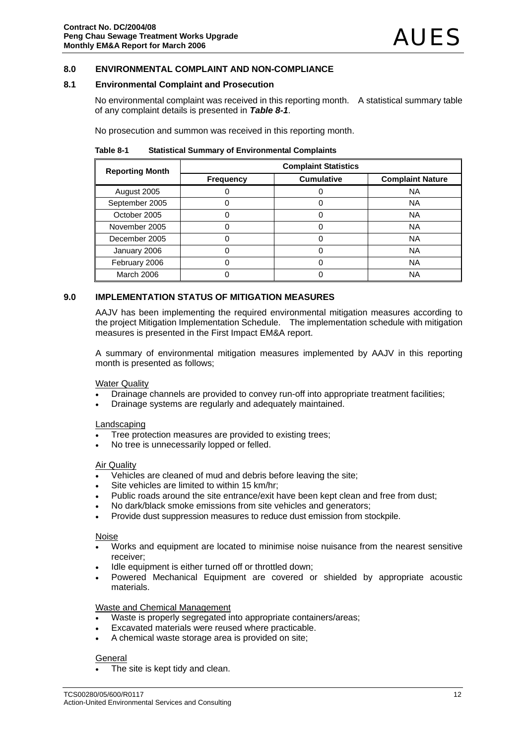## **8.0 ENVIRONMENTAL COMPLAINT AND NON-COMPLIANCE**

#### **8.1 Environmental Complaint and Prosecution**

No environmental complaint was received in this reporting month. A statistical summary table of any complaint details is presented in *Table 8-1*.

No prosecution and summon was received in this reporting month.

**Table 8-1 Statistical Summary of Environmental Complaints** 

| <b>Reporting Month</b> | <b>Complaint Statistics</b> |                   |                         |  |
|------------------------|-----------------------------|-------------------|-------------------------|--|
|                        | <b>Frequency</b>            | <b>Cumulative</b> | <b>Complaint Nature</b> |  |
| August 2005            |                             |                   | <b>NA</b>               |  |
| September 2005         |                             |                   | <b>NA</b>               |  |
| October 2005           |                             |                   | <b>NA</b>               |  |
| November 2005          |                             |                   | <b>NA</b>               |  |
| December 2005          |                             |                   | <b>NA</b>               |  |
| January 2006           |                             |                   | <b>NA</b>               |  |
| February 2006          |                             |                   | <b>NA</b>               |  |
| <b>March 2006</b>      |                             |                   | ΝA                      |  |

## **9.0 IMPLEMENTATION STATUS OF MITIGATION MEASURES**

AAJV has been implementing the required environmental mitigation measures according to the project Mitigation Implementation Schedule. The implementation schedule with mitigation measures is presented in the First Impact EM&A report.

A summary of environmental mitigation measures implemented by AAJV in this reporting month is presented as follows;

Water Quality

- Drainage channels are provided to convey run-off into appropriate treatment facilities;
- Drainage systems are regularly and adequately maintained.

#### Landscaping

- Tree protection measures are provided to existing trees;
- No tree is unnecessarily lopped or felled.

#### Air Quality

- Vehicles are cleaned of mud and debris before leaving the site;
- Site vehicles are limited to within 15 km/hr;
- Public roads around the site entrance/exit have been kept clean and free from dust;
- No dark/black smoke emissions from site vehicles and generators;
- Provide dust suppression measures to reduce dust emission from stockpile.

#### Noise

- Works and equipment are located to minimise noise nuisance from the nearest sensitive receiver;
- Idle equipment is either turned off or throttled down;
- Powered Mechanical Equipment are covered or shielded by appropriate acoustic materials.

#### Waste and Chemical Management

- Waste is properly segregated into appropriate containers/areas;
- Excavated materials were reused where practicable.
- A chemical waste storage area is provided on site;

## **General**

The site is kept tidy and clean.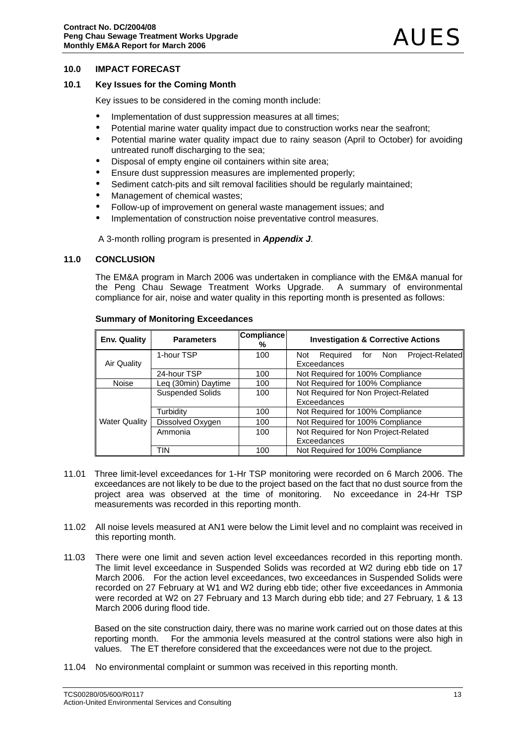## **10.0 IMPACT FORECAST**

## **10.1 Key Issues for the Coming Month**

Key issues to be considered in the coming month include:

- Implementation of dust suppression measures at all times;
- Potential marine water quality impact due to construction works near the seafront;
- Potential marine water quality impact due to rainy season (April to October) for avoiding untreated runoff discharging to the sea;
- Disposal of empty engine oil containers within site area;
- Ensure dust suppression measures are implemented properly;
- Sediment catch-pits and silt removal facilities should be regularly maintained:
- Management of chemical wastes;
- Follow-up of improvement on general waste management issues; and
- Implementation of construction noise preventative control measures.

A 3-month rolling program is presented in *Appendix J*.

#### **11.0 CONCLUSION**

The EM&A program in March 2006 was undertaken in compliance with the EM&A manual for the Peng Chau Sewage Treatment Works Upgrade. A summary of environmental compliance for air, noise and water quality in this reporting month is presented as follows:

| <b>Env. Quality</b>  | <b>Parameters</b>       | Compliance<br>% | <b>Investigation &amp; Corrective Actions</b>                   |
|----------------------|-------------------------|-----------------|-----------------------------------------------------------------|
| Air Quality          | 1-hour TSP              | 100             | Project-Related<br>Required<br>for<br>Non<br>Not<br>Exceedances |
|                      |                         |                 |                                                                 |
|                      | 24-hour TSP             | 100             | Not Required for 100% Compliance                                |
| <b>Noise</b>         | Leg (30min) Daytime     | 100             | Not Required for 100% Compliance                                |
| <b>Water Quality</b> | <b>Suspended Solids</b> | 100             | Not Required for Non Project-Related                            |
|                      |                         |                 | Exceedances                                                     |
|                      | Turbidity               | 100             | Not Required for 100% Compliance                                |
|                      | Dissolved Oxygen        | 100             | Not Required for 100% Compliance                                |
|                      | Ammonia                 | 100             | Not Required for Non Project-Related                            |
|                      |                         |                 | Exceedances                                                     |
|                      | <b>TIN</b>              | 100             | Not Required for 100% Compliance                                |

#### **Summary of Monitoring Exceedances**

- 11.01 Three limit-level exceedances for 1-Hr TSP monitoring were recorded on 6 March 2006. The exceedances are not likely to be due to the project based on the fact that no dust source from the project area was observed at the time of monitoring. No exceedance in 24-Hr TSP measurements was recorded in this reporting month.
- 11.02 All noise levels measured at AN1 were below the Limit level and no complaint was received in this reporting month.
- 11.03 There were one limit and seven action level exceedances recorded in this reporting month. The limit level exceedance in Suspended Solids was recorded at W2 during ebb tide on 17 March 2006. For the action level exceedances, two exceedances in Suspended Solids were recorded on 27 February at W1 and W2 during ebb tide; other five exceedances in Ammonia were recorded at W2 on 27 February and 13 March during ebb tide; and 27 February, 1 & 13 March 2006 during flood tide.

Based on the site construction dairy, there was no marine work carried out on those dates at this reporting month. For the ammonia levels measured at the control stations were also high in values. The ET therefore considered that the exceedances were not due to the project.

11.04 No environmental complaint or summon was received in this reporting month.